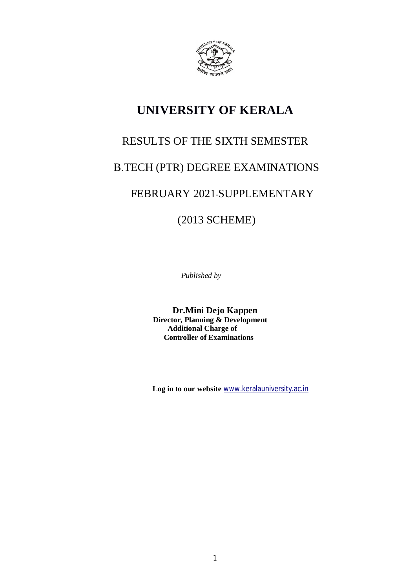

# **UNIVERSITY OF KERALA**

# RESULTS OF THE SIXTH SEMESTER

# B.TECH (PTR) DEGREE EXAMINATIONS

## FEBRUARY 2021-SUPPLEMENTARY

(2013 SCHEME)

*Published by*

**Dr.Mini Dejo Kappen Director, Planning & Development Additional Charge of Controller of Examinations**

 **Log in to our website** www.keralauniversity.ac.in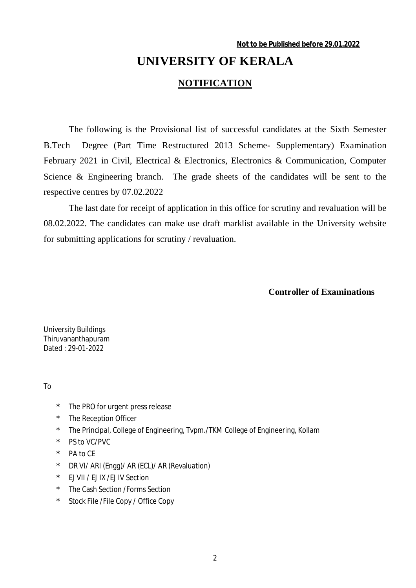# **UNIVERSITY OF KERALA NOTIFICATION**

The following is the Provisional list of successful candidates at the Sixth Semester B.Tech Degree (Part Time Restructured 2013 Scheme- Supplementary) Examination February 2021 in Civil, Electrical & Electronics, Electronics & Communication, Computer Science & Engineering branch. The grade sheets of the candidates will be sent to the respective centres by 07.02.2022

The last date for receipt of application in this office for scrutiny and revaluation will be 08.02.2022. The candidates can make use draft marklist available in the University website for submitting applications for scrutiny / revaluation.

#### **Controller of Examinations**

University Buildings Thiruvananthapuram Dated : 29-01-2022

To

- \* The PRO for urgent press release
- The Reception Officer
- \* The Principal, College of Engineering, Tvpm./TKM College of Engineering, Kollam
- \* PS to VC/PVC
- \* PA to CE
- \* DR VI/ ARI (Engg)/ AR (ECL)/ AR (Revaluation)
- \* EJ VII / EJ IX /EJ IV Section
- \* The Cash Section /Forms Section
- \* Stock File /File Copy / Office Copy